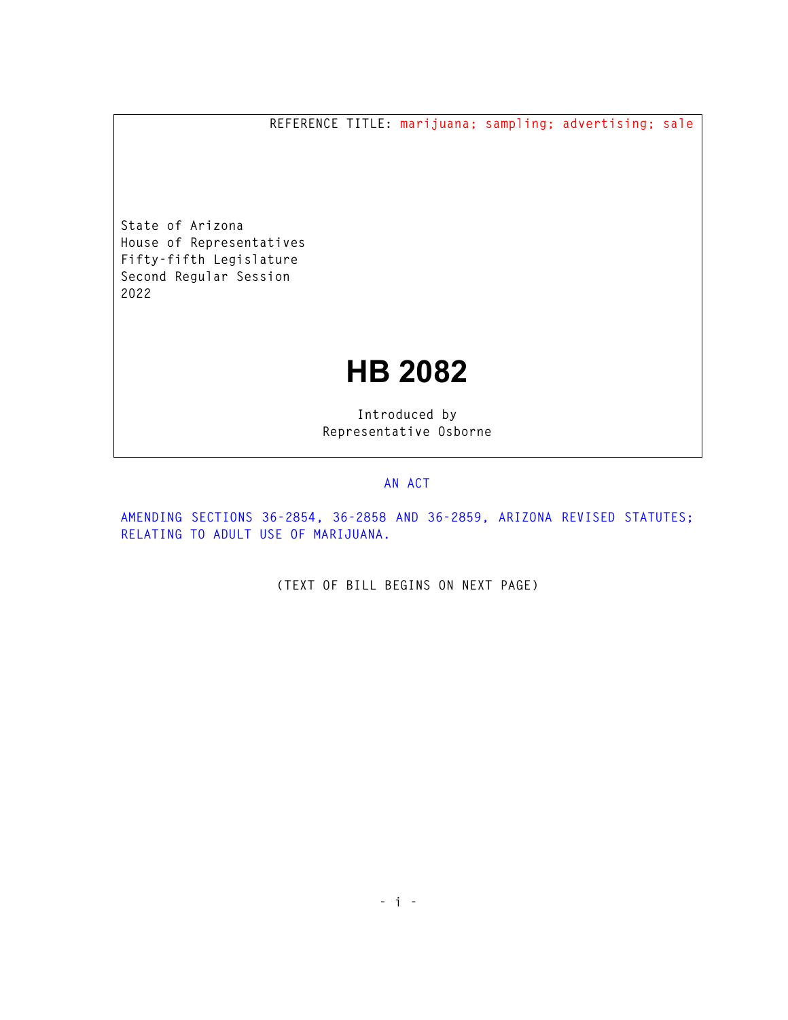**REFERENCE TITLE: marijuana; sampling; advertising; sale** 

**State of Arizona House of Representatives Fifty-fifth Legislature Second Regular Session 2022** 

## **HB 2082**

**Introduced by Representative Osborne** 

## **AN ACT**

**AMENDING SECTIONS 36-2854, 36-2858 AND 36-2859, ARIZONA REVISED STATUTES; RELATING TO ADULT USE OF MARIJUANA.** 

**(TEXT OF BILL BEGINS ON NEXT PAGE)**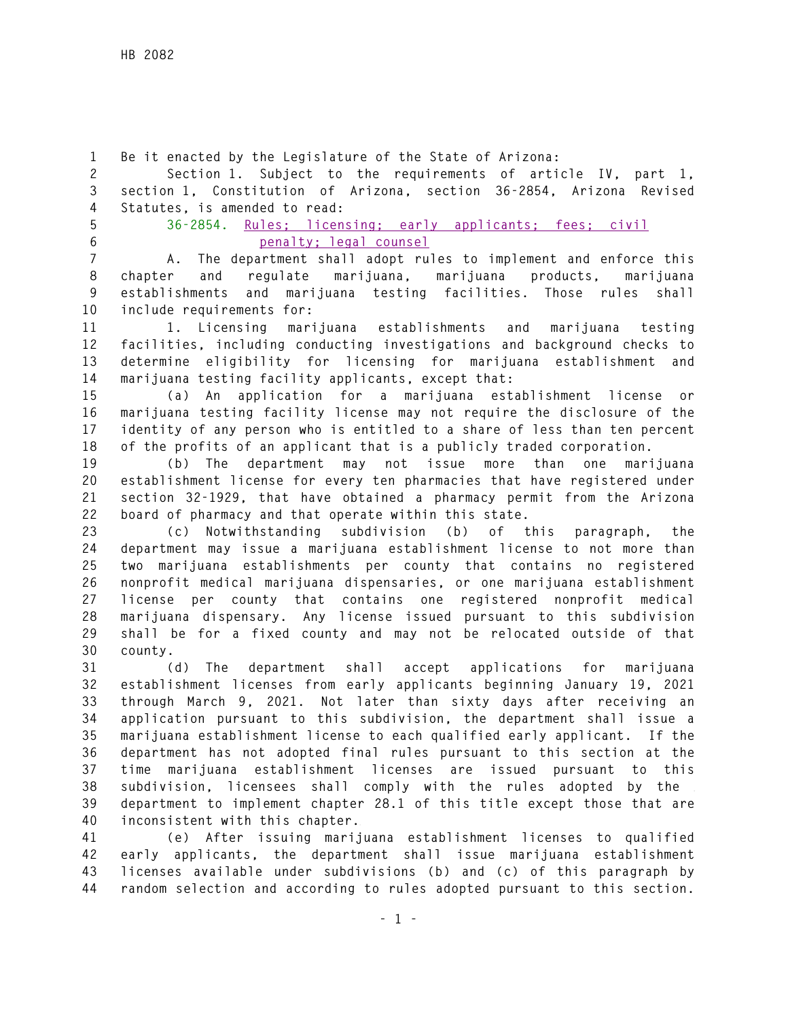**1 Be it enacted by the Legislature of the State of Arizona:** 

**2 Section 1. Subject to the requirements of article IV, part 1, 3 section 1, Constitution of Arizona, section 36-2854, Arizona Revised 4 Statutes, is amended to read:** 

**5 36-2854. Rules; licensing; early applicants; fees; civil 6 penalty; legal counsel** 

**7 A. The department shall adopt rules to implement and enforce this 8 chapter and regulate marijuana, marijuana products, marijuana 9 establishments and marijuana testing facilities. Those rules shall 10 include requirements for:** 

**11 1. Licensing marijuana establishments and marijuana testing 12 facilities, including conducting investigations and background checks to 13 determine eligibility for licensing for marijuana establishment and 14 marijuana testing facility applicants, except that:** 

**15 (a) An application for a marijuana establishment license or 16 marijuana testing facility license may not require the disclosure of the 17 identity of any person who is entitled to a share of less than ten percent 18 of the profits of an applicant that is a publicly traded corporation.** 

**19 (b) The department may not issue more than one marijuana 20 establishment license for every ten pharmacies that have registered under 21 section 32-1929, that have obtained a pharmacy permit from the Arizona 22 board of pharmacy and that operate within this state.** 

**23 (c) Notwithstanding subdivision (b) of this paragraph, the 24 department may issue a marijuana establishment license to not more than 25 two marijuana establishments per county that contains no registered 26 nonprofit medical marijuana dispensaries, or one marijuana establishment 27 license per county that contains one registered nonprofit medical 28 marijuana dispensary. Any license issued pursuant to this subdivision 29 shall be for a fixed county and may not be relocated outside of that 30 county.** 

**31 (d) The department shall accept applications for marijuana 32 establishment licenses from early applicants beginning January 19, 2021 33 through March 9, 2021. Not later than sixty days after receiving an 34 application pursuant to this subdivision, the department shall issue a 35 marijuana establishment license to each qualified early applicant. If the 36 department has not adopted final rules pursuant to this section at the 37 time marijuana establishment licenses are issued pursuant to this 38 subdivision, licensees shall comply with the rules adopted by the 39 department to implement chapter 28.1 of this title except those that are 40 inconsistent with this chapter.** 

**41 (e) After issuing marijuana establishment licenses to qualified 42 early applicants, the department shall issue marijuana establishment 43 licenses available under subdivisions (b) and (c) of this paragraph by 44 random selection and according to rules adopted pursuant to this section.**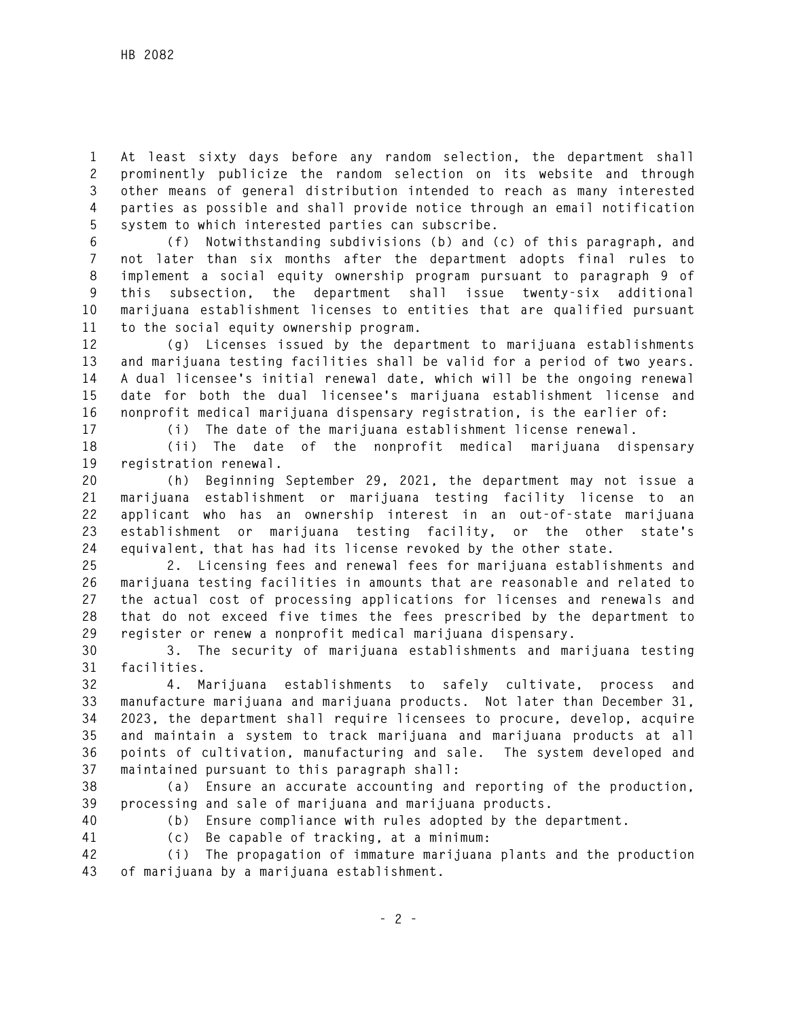**1 At least sixty days before any random selection, the department shall 2 prominently publicize the random selection on its website and through 3 other means of general distribution intended to reach as many interested 4 parties as possible and shall provide notice through an email notification 5 system to which interested parties can subscribe.** 

**6 (f) Notwithstanding subdivisions (b) and (c) of this paragraph, and 7 not later than six months after the department adopts final rules to 8 implement a social equity ownership program pursuant to paragraph 9 of 9 this subsection, the department shall issue twenty-six additional 10 marijuana establishment licenses to entities that are qualified pursuant 11 to the social equity ownership program.** 

**12 (g) Licenses issued by the department to marijuana establishments 13 and marijuana testing facilities shall be valid for a period of two years. 14 A dual licensee's initial renewal date, which will be the ongoing renewal 15 date for both the dual licensee's marijuana establishment license and 16 nonprofit medical marijuana dispensary registration, is the earlier of:** 

**17 (i) The date of the marijuana establishment license renewal.** 

**18 (ii) The date of the nonprofit medical marijuana dispensary 19 registration renewal.** 

**20 (h) Beginning September 29, 2021, the department may not issue a 21 marijuana establishment or marijuana testing facility license to an 22 applicant who has an ownership interest in an out-of-state marijuana 23 establishment or marijuana testing facility, or the other state's 24 equivalent, that has had its license revoked by the other state.** 

**25 2. Licensing fees and renewal fees for marijuana establishments and 26 marijuana testing facilities in amounts that are reasonable and related to 27 the actual cost of processing applications for licenses and renewals and 28 that do not exceed five times the fees prescribed by the department to 29 register or renew a nonprofit medical marijuana dispensary.** 

**30 3. The security of marijuana establishments and marijuana testing 31 facilities.** 

**32 4. Marijuana establishments to safely cultivate, process and 33 manufacture marijuana and marijuana products. Not later than December 31, 34 2023, the department shall require licensees to procure, develop, acquire 35 and maintain a system to track marijuana and marijuana products at all 36 points of cultivation, manufacturing and sale. The system developed and 37 maintained pursuant to this paragraph shall:** 

**38 (a) Ensure an accurate accounting and reporting of the production, 39 processing and sale of marijuana and marijuana products.** 

**40 (b) Ensure compliance with rules adopted by the department.** 

**41 (c) Be capable of tracking, at a minimum:** 

**42 (i) The propagation of immature marijuana plants and the production 43 of marijuana by a marijuana establishment.**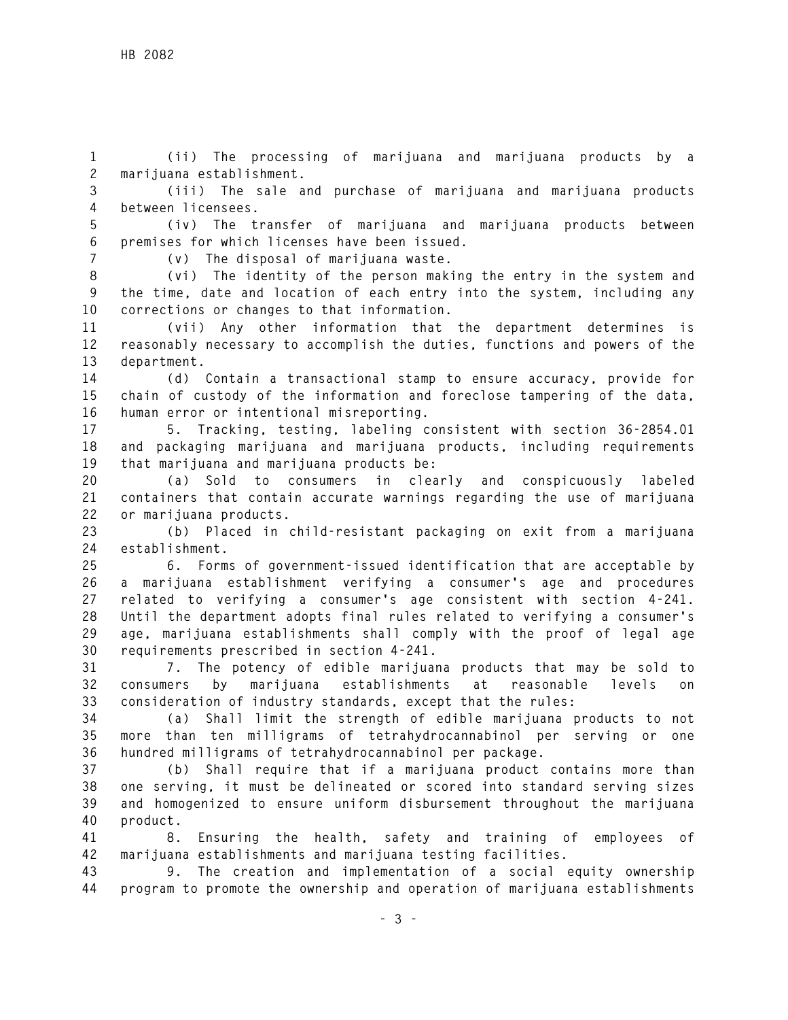**1 (ii) The processing of marijuana and marijuana products by a 2 marijuana establishment.** 

**3 (iii) The sale and purchase of marijuana and marijuana products 4 between licensees.** 

**5 (iv) The transfer of marijuana and marijuana products between 6 premises for which licenses have been issued.** 

**7 (v) The disposal of marijuana waste.** 

**8 (vi) The identity of the person making the entry in the system and 9 the time, date and location of each entry into the system, including any 10 corrections or changes to that information.** 

**11 (vii) Any other information that the department determines is 12 reasonably necessary to accomplish the duties, functions and powers of the 13 department.** 

**14 (d) Contain a transactional stamp to ensure accuracy, provide for 15 chain of custody of the information and foreclose tampering of the data, 16 human error or intentional misreporting.** 

**17 5. Tracking, testing, labeling consistent with section 36-2854.01 18 and packaging marijuana and marijuana products, including requirements 19 that marijuana and marijuana products be:** 

**20 (a) Sold to consumers in clearly and conspicuously labeled 21 containers that contain accurate warnings regarding the use of marijuana 22 or marijuana products.** 

**23 (b) Placed in child-resistant packaging on exit from a marijuana 24 establishment.** 

**25 6. Forms of government-issued identification that are acceptable by 26 a marijuana establishment verifying a consumer's age and procedures 27 related to verifying a consumer's age consistent with section 4-241. 28 Until the department adopts final rules related to verifying a consumer's 29 age, marijuana establishments shall comply with the proof of legal age 30 requirements prescribed in section 4-241.** 

**31 7. The potency of edible marijuana products that may be sold to 32 consumers by marijuana establishments at reasonable levels on 33 consideration of industry standards, except that the rules:** 

**34 (a) Shall limit the strength of edible marijuana products to not 35 more than ten milligrams of tetrahydrocannabinol per serving or one 36 hundred milligrams of tetrahydrocannabinol per package.** 

**37 (b) Shall require that if a marijuana product contains more than 38 one serving, it must be delineated or scored into standard serving sizes 39 and homogenized to ensure uniform disbursement throughout the marijuana 40 product.** 

**41 8. Ensuring the health, safety and training of employees of 42 marijuana establishments and marijuana testing facilities.** 

**43 9. The creation and implementation of a social equity ownership 44 program to promote the ownership and operation of marijuana establishments**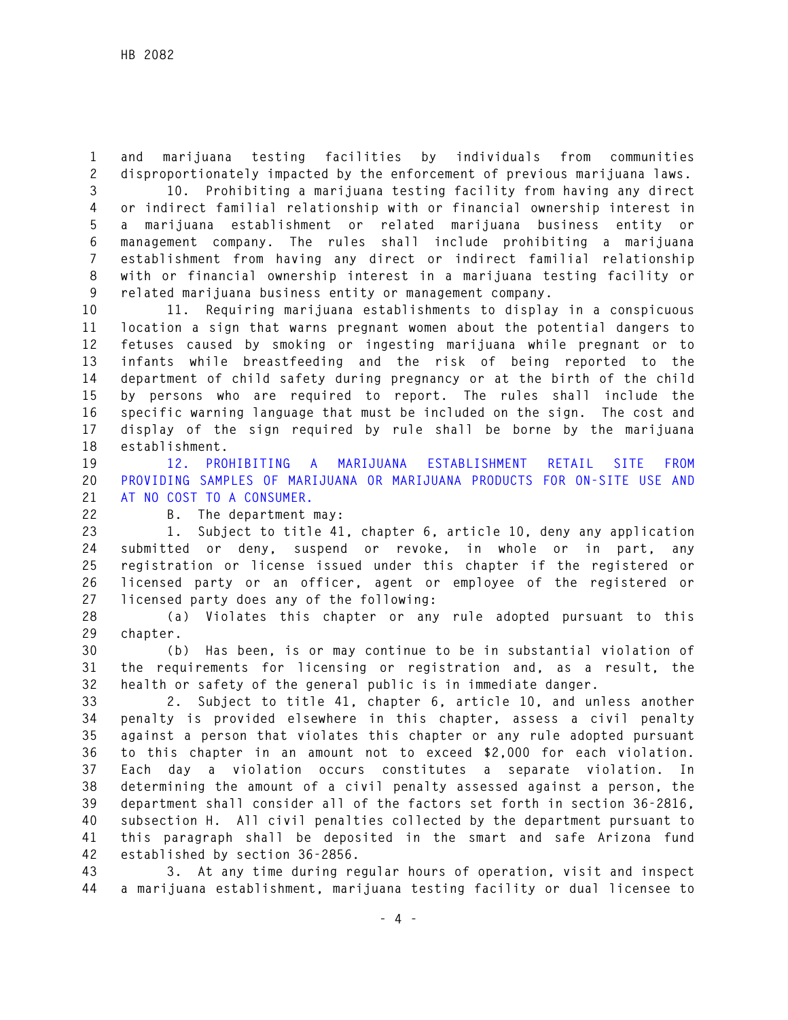**1 and marijuana testing facilities by individuals from communities 2 disproportionately impacted by the enforcement of previous marijuana laws.** 

**3 10. Prohibiting a marijuana testing facility from having any direct 4 or indirect familial relationship with or financial ownership interest in 5 a marijuana establishment or related marijuana business entity or 6 management company. The rules shall include prohibiting a marijuana 7 establishment from having any direct or indirect familial relationship 8 with or financial ownership interest in a marijuana testing facility or 9 related marijuana business entity or management company.** 

**10 11. Requiring marijuana establishments to display in a conspicuous 11 location a sign that warns pregnant women about the potential dangers to 12 fetuses caused by smoking or ingesting marijuana while pregnant or to 13 infants while breastfeeding and the risk of being reported to the 14 department of child safety during pregnancy or at the birth of the child 15 by persons who are required to report. The rules shall include the 16 specific warning language that must be included on the sign. The cost and 17 display of the sign required by rule shall be borne by the marijuana 18 establishment.** 

**19 12. PROHIBITING A MARIJUANA ESTABLISHMENT RETAIL SITE FROM 20 PROVIDING SAMPLES OF MARIJUANA OR MARIJUANA PRODUCTS FOR ON-SITE USE AND 21 AT NO COST TO A CONSUMER.** 

**22 B. The department may:** 

**23 1. Subject to title 41, chapter 6, article 10, deny any application 24 submitted or deny, suspend or revoke, in whole or in part, any 25 registration or license issued under this chapter if the registered or 26 licensed party or an officer, agent or employee of the registered or 27 licensed party does any of the following:** 

**28 (a) Violates this chapter or any rule adopted pursuant to this 29 chapter.** 

**30 (b) Has been, is or may continue to be in substantial violation of 31 the requirements for licensing or registration and, as a result, the 32 health or safety of the general public is in immediate danger.** 

**33 2. Subject to title 41, chapter 6, article 10, and unless another 34 penalty is provided elsewhere in this chapter, assess a civil penalty 35 against a person that violates this chapter or any rule adopted pursuant 36 to this chapter in an amount not to exceed \$2,000 for each violation. 37 Each day a violation occurs constitutes a separate violation. In 38 determining the amount of a civil penalty assessed against a person, the 39 department shall consider all of the factors set forth in section 36-2816, 40 subsection H. All civil penalties collected by the department pursuant to 41 this paragraph shall be deposited in the smart and safe Arizona fund 42 established by section 36-2856.** 

**43 3. At any time during regular hours of operation, visit and inspect 44 a marijuana establishment, marijuana testing facility or dual licensee to**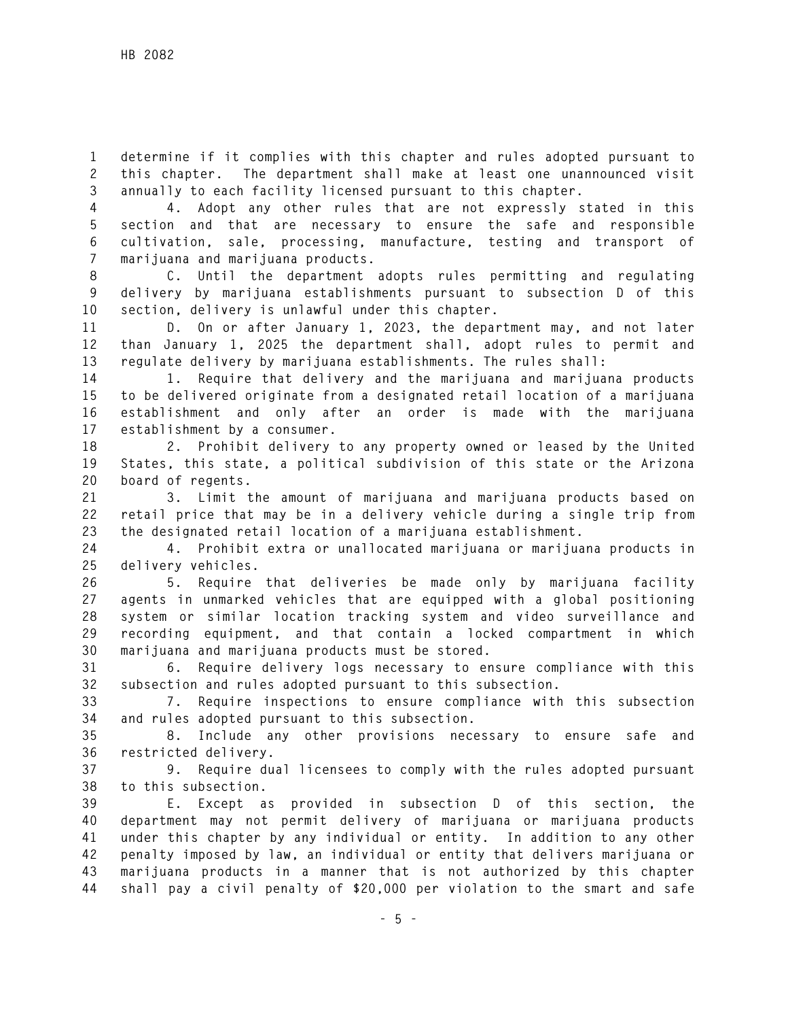**1 determine if it complies with this chapter and rules adopted pursuant to 2 this chapter. The department shall make at least one unannounced visit 3 annually to each facility licensed pursuant to this chapter.** 

**4 4. Adopt any other rules that are not expressly stated in this 5 section and that are necessary to ensure the safe and responsible 6 cultivation, sale, processing, manufacture, testing and transport of 7 marijuana and marijuana products.** 

**8 C. Until the department adopts rules permitting and regulating 9 delivery by marijuana establishments pursuant to subsection D of this 10 section, delivery is unlawful under this chapter.** 

**11 D. On or after January 1, 2023, the department may, and not later 12 than January 1, 2025 the department shall, adopt rules to permit and 13 regulate delivery by marijuana establishments. The rules shall:** 

**14 1. Require that delivery and the marijuana and marijuana products 15 to be delivered originate from a designated retail location of a marijuana 16 establishment and only after an order is made with the marijuana 17 establishment by a consumer.** 

**18 2. Prohibit delivery to any property owned or leased by the United 19 States, this state, a political subdivision of this state or the Arizona 20 board of regents.** 

**21 3. Limit the amount of marijuana and marijuana products based on 22 retail price that may be in a delivery vehicle during a single trip from 23 the designated retail location of a marijuana establishment.** 

**24 4. Prohibit extra or unallocated marijuana or marijuana products in 25 delivery vehicles.** 

**26 5. Require that deliveries be made only by marijuana facility 27 agents in unmarked vehicles that are equipped with a global positioning 28 system or similar location tracking system and video surveillance and 29 recording equipment, and that contain a locked compartment in which 30 marijuana and marijuana products must be stored.** 

**31 6. Require delivery logs necessary to ensure compliance with this 32 subsection and rules adopted pursuant to this subsection.** 

**33 7. Require inspections to ensure compliance with this subsection 34 and rules adopted pursuant to this subsection.** 

**35 8. Include any other provisions necessary to ensure safe and 36 restricted delivery.** 

**37 9. Require dual licensees to comply with the rules adopted pursuant 38 to this subsection.** 

**39 E. Except as provided in subsection D of this section, the 40 department may not permit delivery of marijuana or marijuana products 41 under this chapter by any individual or entity. In addition to any other 42 penalty imposed by law, an individual or entity that delivers marijuana or 43 marijuana products in a manner that is not authorized by this chapter 44 shall pay a civil penalty of \$20,000 per violation to the smart and safe**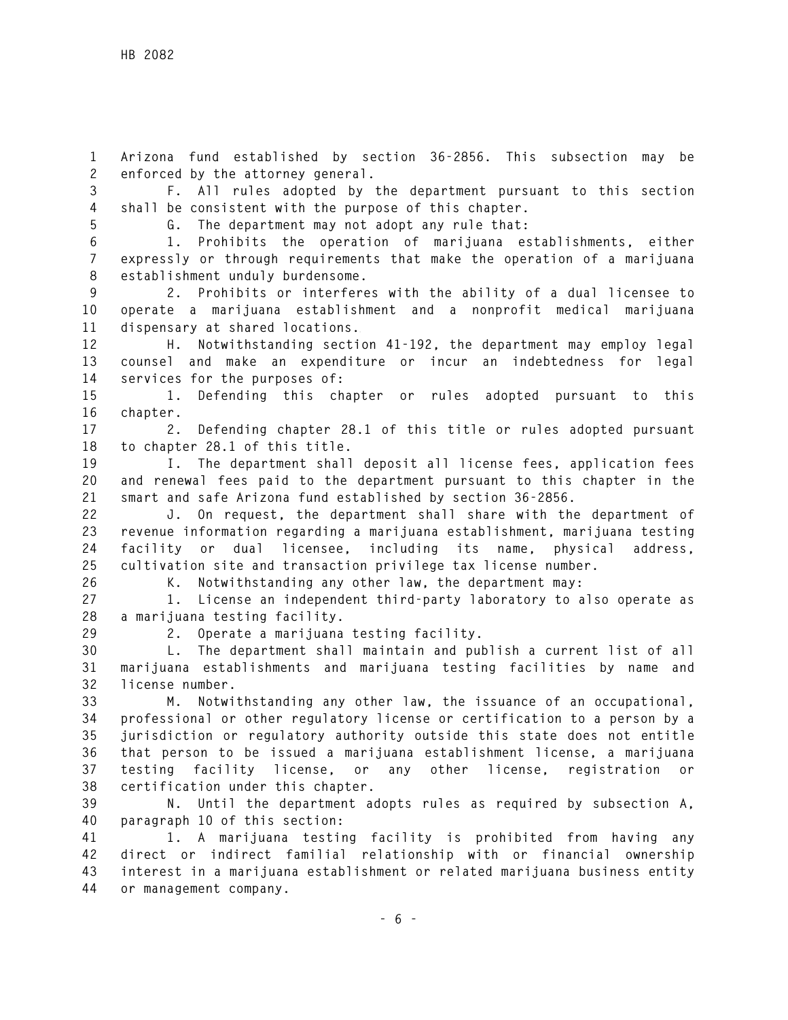**1 Arizona fund established by section 36-2856. This subsection may be 2 enforced by the attorney general.** 

**3 F. All rules adopted by the department pursuant to this section 4 shall be consistent with the purpose of this chapter.** 

**5 G. The department may not adopt any rule that:** 

**6 1. Prohibits the operation of marijuana establishments, either 7 expressly or through requirements that make the operation of a marijuana 8 establishment unduly burdensome.** 

**9 2. Prohibits or interferes with the ability of a dual licensee to 10 operate a marijuana establishment and a nonprofit medical marijuana 11 dispensary at shared locations.** 

**12 H. Notwithstanding section 41-192, the department may employ legal 13 counsel and make an expenditure or incur an indebtedness for legal 14 services for the purposes of:** 

**15 1. Defending this chapter or rules adopted pursuant to this 16 chapter.** 

**17 2. Defending chapter 28.1 of this title or rules adopted pursuant 18 to chapter 28.1 of this title.** 

**19 I. The department shall deposit all license fees, application fees 20 and renewal fees paid to the department pursuant to this chapter in the 21 smart and safe Arizona fund established by section 36-2856.** 

**22 J. On request, the department shall share with the department of 23 revenue information regarding a marijuana establishment, marijuana testing 24 facility or dual licensee, including its name, physical address, 25 cultivation site and transaction privilege tax license number.** 

**26 K. Notwithstanding any other law, the department may:** 

**27 1. License an independent third-party laboratory to also operate as 28 a marijuana testing facility.** 

**29 2. Operate a marijuana testing facility.** 

**30 L. The department shall maintain and publish a current list of all 31 marijuana establishments and marijuana testing facilities by name and 32 license number.** 

**33 M. Notwithstanding any other law, the issuance of an occupational, 34 professional or other regulatory license or certification to a person by a 35 jurisdiction or regulatory authority outside this state does not entitle 36 that person to be issued a marijuana establishment license, a marijuana 37 testing facility license, or any other license, registration or 38 certification under this chapter.** 

**39 N. Until the department adopts rules as required by subsection A, 40 paragraph 10 of this section:** 

**41 1. A marijuana testing facility is prohibited from having any 42 direct or indirect familial relationship with or financial ownership 43 interest in a marijuana establishment or related marijuana business entity 44 or management company.**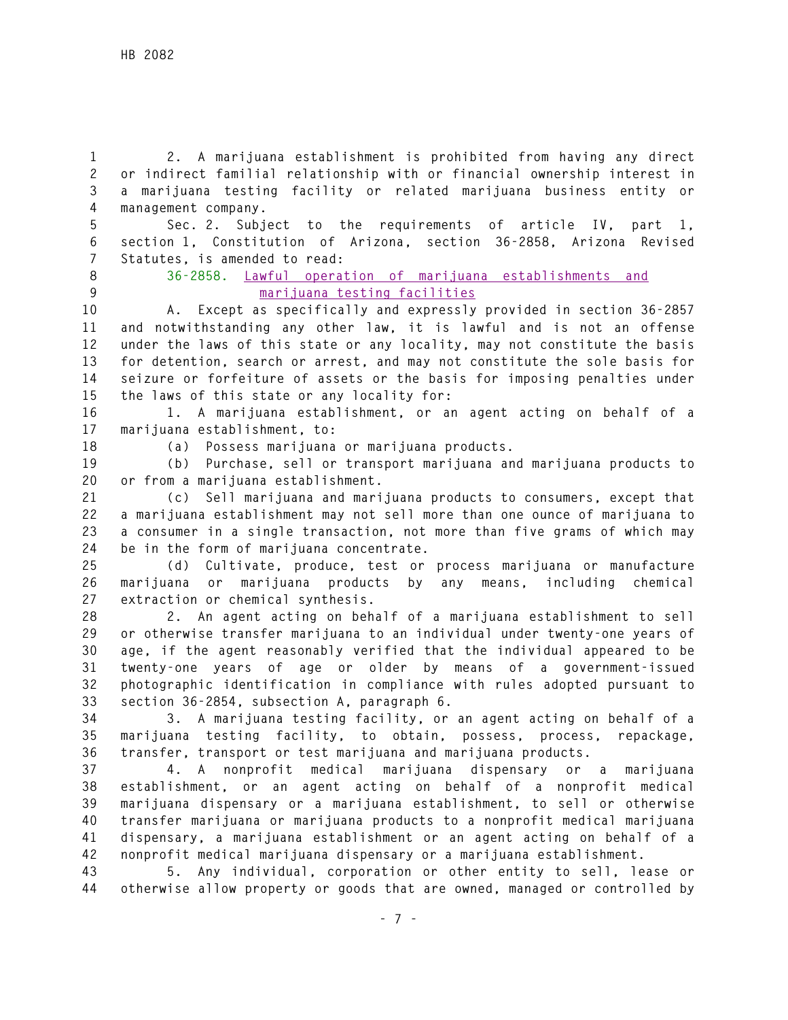**1 2. A marijuana establishment is prohibited from having any direct 2 or indirect familial relationship with or financial ownership interest in 3 a marijuana testing facility or related marijuana business entity or 4 management company.** 

**5 Sec. 2. Subject to the requirements of article IV, part 1, 6 section 1, Constitution of Arizona, section 36-2858, Arizona Revised 7 Statutes, is amended to read:** 

**8 36-2858. Lawful operation of marijuana establishments and 9 marijuana testing facilities**

**10 A. Except as specifically and expressly provided in section 36-2857 11 and notwithstanding any other law, it is lawful and is not an offense 12 under the laws of this state or any locality, may not constitute the basis 13 for detention, search or arrest, and may not constitute the sole basis for 14 seizure or forfeiture of assets or the basis for imposing penalties under 15 the laws of this state or any locality for:** 

**16 1. A marijuana establishment, or an agent acting on behalf of a 17 marijuana establishment, to:** 

**18 (a) Possess marijuana or marijuana products.** 

**19 (b) Purchase, sell or transport marijuana and marijuana products to 20 or from a marijuana establishment.** 

**21 (c) Sell marijuana and marijuana products to consumers, except that 22 a marijuana establishment may not sell more than one ounce of marijuana to 23 a consumer in a single transaction, not more than five grams of which may 24 be in the form of marijuana concentrate.** 

**25 (d) Cultivate, produce, test or process marijuana or manufacture 26 marijuana or marijuana products by any means, including chemical 27 extraction or chemical synthesis.** 

**28 2. An agent acting on behalf of a marijuana establishment to sell 29 or otherwise transfer marijuana to an individual under twenty-one years of 30 age, if the agent reasonably verified that the individual appeared to be 31 twenty-one years of age or older by means of a government-issued 32 photographic identification in compliance with rules adopted pursuant to 33 section 36-2854, subsection A, paragraph 6.** 

**34 3. A marijuana testing facility, or an agent acting on behalf of a 35 marijuana testing facility, to obtain, possess, process, repackage, 36 transfer, transport or test marijuana and marijuana products.** 

**37 4. A nonprofit medical marijuana dispensary or a marijuana 38 establishment, or an agent acting on behalf of a nonprofit medical 39 marijuana dispensary or a marijuana establishment, to sell or otherwise 40 transfer marijuana or marijuana products to a nonprofit medical marijuana 41 dispensary, a marijuana establishment or an agent acting on behalf of a 42 nonprofit medical marijuana dispensary or a marijuana establishment.** 

**43 5. Any individual, corporation or other entity to sell, lease or 44 otherwise allow property or goods that are owned, managed or controlled by**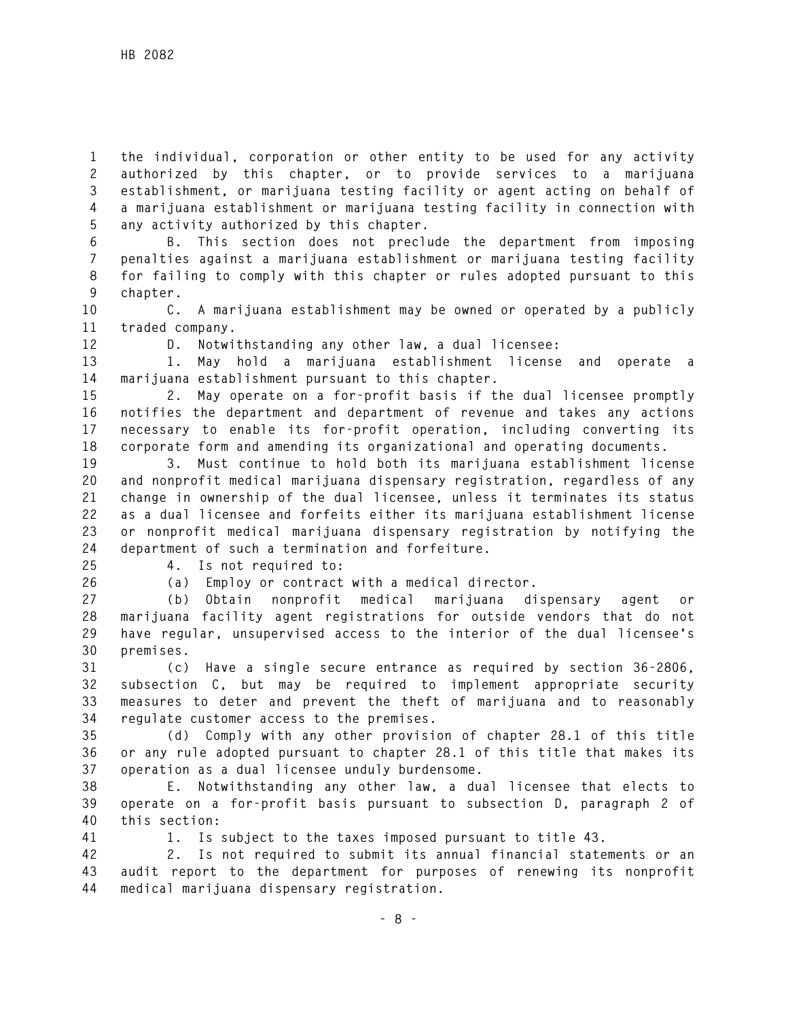**1 the individual, corporation or other entity to be used for any activity 2 authorized by this chapter, or to provide services to a marijuana 3 establishment, or marijuana testing facility or agent acting on behalf of 4 a marijuana establishment or marijuana testing facility in connection with 5 any activity authorized by this chapter.** 

**6 B. This section does not preclude the department from imposing 7 penalties against a marijuana establishment or marijuana testing facility 8 for failing to comply with this chapter or rules adopted pursuant to this 9 chapter.** 

**10 C. A marijuana establishment may be owned or operated by a publicly 11 traded company.** 

**12 D. Notwithstanding any other law, a dual licensee:** 

**13 1. May hold a marijuana establishment license and operate a 14 marijuana establishment pursuant to this chapter.** 

**15 2. May operate on a for-profit basis if the dual licensee promptly 16 notifies the department and department of revenue and takes any actions 17 necessary to enable its for-profit operation, including converting its 18 corporate form and amending its organizational and operating documents.** 

**19 3. Must continue to hold both its marijuana establishment license 20 and nonprofit medical marijuana dispensary registration, regardless of any 21 change in ownership of the dual licensee, unless it terminates its status 22 as a dual licensee and forfeits either its marijuana establishment license 23 or nonprofit medical marijuana dispensary registration by notifying the 24 department of such a termination and forfeiture.** 

**25 4. Is not required to:** 

**26 (a) Employ or contract with a medical director.** 

**27 (b) Obtain nonprofit medical marijuana dispensary agent or 28 marijuana facility agent registrations for outside vendors that do not 29 have regular, unsupervised access to the interior of the dual licensee's 30 premises.** 

**31 (c) Have a single secure entrance as required by section 36-2806, 32 subsection C, but may be required to implement appropriate security 33 measures to deter and prevent the theft of marijuana and to reasonably 34 regulate customer access to the premises.** 

**35 (d) Comply with any other provision of chapter 28.1 of this title 36 or any rule adopted pursuant to chapter 28.1 of this title that makes its 37 operation as a dual licensee unduly burdensome.** 

**38 E. Notwithstanding any other law, a dual licensee that elects to 39 operate on a for-profit basis pursuant to subsection D, paragraph 2 of 40 this section:** 

**41 1. Is subject to the taxes imposed pursuant to title 43.** 

**42 2. Is not required to submit its annual financial statements or an 43 audit report to the department for purposes of renewing its nonprofit 44 medical marijuana dispensary registration.**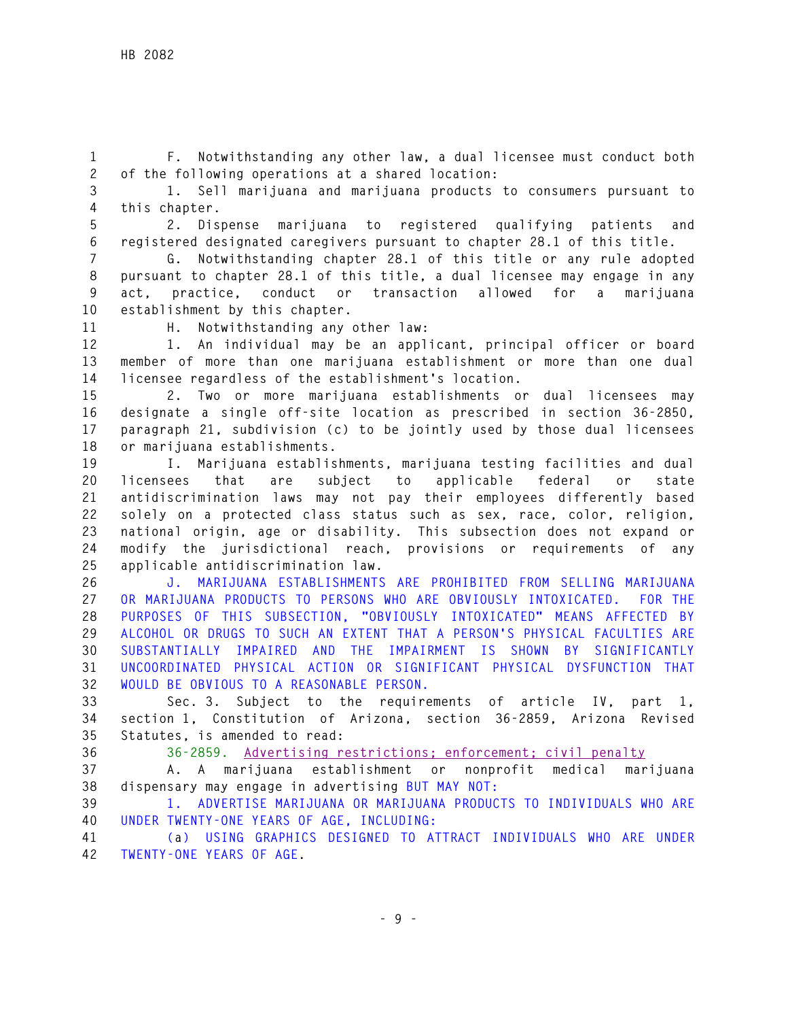**1 F. Notwithstanding any other law, a dual licensee must conduct both 2 of the following operations at a shared location:** 

**3 1. Sell marijuana and marijuana products to consumers pursuant to 4 this chapter.** 

**5 2. Dispense marijuana to registered qualifying patients and 6 registered designated caregivers pursuant to chapter 28.1 of this title.** 

**7 G. Notwithstanding chapter 28.1 of this title or any rule adopted 8 pursuant to chapter 28.1 of this title, a dual licensee may engage in any 9 act, practice, conduct or transaction allowed for a marijuana 10 establishment by this chapter.** 

**11 H. Notwithstanding any other law:** 

**12 1. An individual may be an applicant, principal officer or board 13 member of more than one marijuana establishment or more than one dual 14 licensee regardless of the establishment's location.** 

**15 2. Two or more marijuana establishments or dual licensees may 16 designate a single off-site location as prescribed in section 36-2850, 17 paragraph 21, subdivision (c) to be jointly used by those dual licensees 18 or marijuana establishments.** 

**19 I. Marijuana establishments, marijuana testing facilities and dual 20 licensees that are subject to applicable federal or state 21 antidiscrimination laws may not pay their employees differently based 22 solely on a protected class status such as sex, race, color, religion, 23 national origin, age or disability. This subsection does not expand or 24 modify the jurisdictional reach, provisions or requirements of any 25 applicable antidiscrimination law.** 

**26 J. MARIJUANA ESTABLISHMENTS ARE PROHIBITED FROM SELLING MARIJUANA 27 OR MARIJUANA PRODUCTS TO PERSONS WHO ARE OBVIOUSLY INTOXICATED. FOR THE 28 PURPOSES OF THIS SUBSECTION, "OBVIOUSLY INTOXICATED" MEANS AFFECTED BY 29 ALCOHOL OR DRUGS TO SUCH AN EXTENT THAT A PERSON'S PHYSICAL FACULTIES ARE 30 SUBSTANTIALLY IMPAIRED AND THE IMPAIRMENT IS SHOWN BY SIGNIFICANTLY 31 UNCOORDINATED PHYSICAL ACTION OR SIGNIFICANT PHYSICAL DYSFUNCTION THAT 32 WOULD BE OBVIOUS TO A REASONABLE PERSON.** 

**33 Sec. 3. Subject to the requirements of article IV, part 1, 34 section 1, Constitution of Arizona, section 36-2859, Arizona Revised 35 Statutes, is amended to read:** 

**36 36-2859. Advertising restrictions; enforcement; civil penalty**

**37 A. A marijuana establishment or nonprofit medical marijuana 38 dispensary may engage in advertising BUT MAY NOT:** 

**39 1. ADVERTISE MARIJUANA OR MARIJUANA PRODUCTS TO INDIVIDUALS WHO ARE 40 UNDER TWENTY-ONE YEARS OF AGE, INCLUDING:** 

**41 (a) USING GRAPHICS DESIGNED TO ATTRACT INDIVIDUALS WHO ARE UNDER 42 TWENTY-ONE YEARS OF AGE.**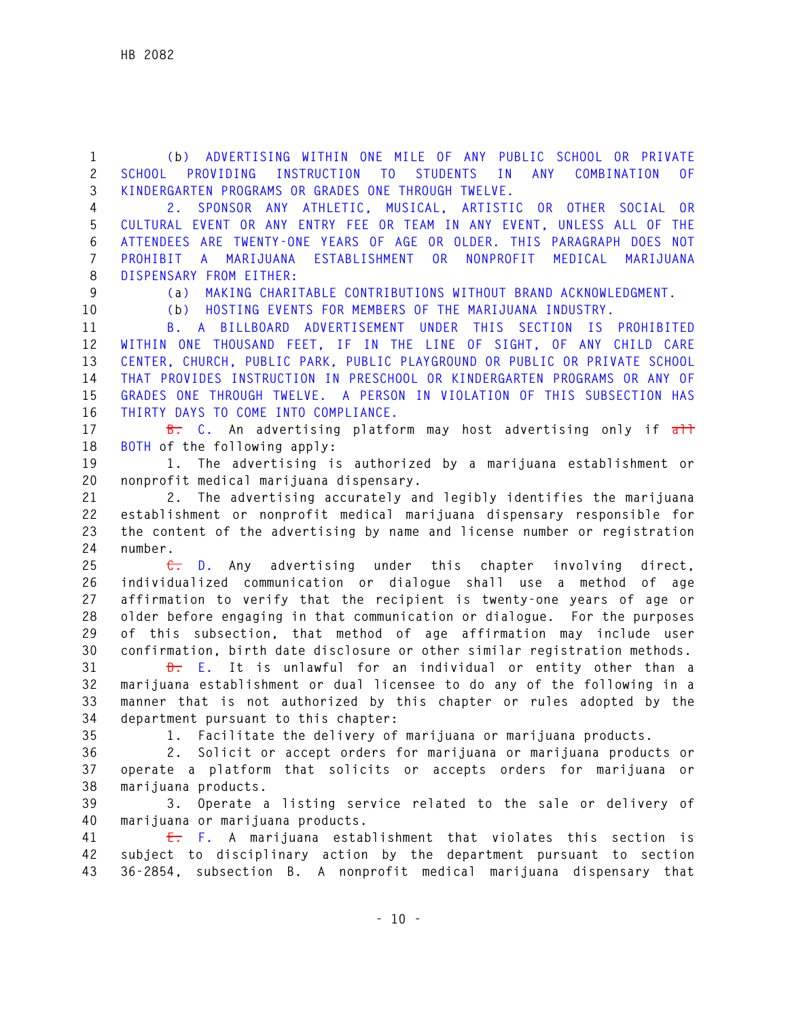**1 (b) ADVERTISING WITHIN ONE MILE OF ANY PUBLIC SCHOOL OR PRIVATE 2 SCHOOL PROVIDING INSTRUCTION TO STUDENTS IN ANY COMBINATION OF 3 KINDERGARTEN PROGRAMS OR GRADES ONE THROUGH TWELVE.** 

**4 2. SPONSOR ANY ATHLETIC, MUSICAL, ARTISTIC OR OTHER SOCIAL OR 5 CULTURAL EVENT OR ANY ENTRY FEE OR TEAM IN ANY EVENT, UNLESS ALL OF THE 6 ATTENDEES ARE TWENTY-ONE YEARS OF AGE OR OLDER. THIS PARAGRAPH DOES NOT 7 PROHIBIT A MARIJUANA ESTABLISHMENT OR NONPROFIT MEDICAL MARIJUANA 8 DISPENSARY FROM EITHER:** 

**9 (a) MAKING CHARITABLE CONTRIBUTIONS WITHOUT BRAND ACKNOWLEDGMENT.** 

**10 (b) HOSTING EVENTS FOR MEMBERS OF THE MARIJUANA INDUSTRY.** 

**11 B. A BILLBOARD ADVERTISEMENT UNDER THIS SECTION IS PROHIBITED 12 WITHIN ONE THOUSAND FEET, IF IN THE LINE OF SIGHT, OF ANY CHILD CARE 13 CENTER, CHURCH, PUBLIC PARK, PUBLIC PLAYGROUND OR PUBLIC OR PRIVATE SCHOOL 14 THAT PROVIDES INSTRUCTION IN PRESCHOOL OR KINDERGARTEN PROGRAMS OR ANY OF 15 GRADES ONE THROUGH TWELVE. A PERSON IN VIOLATION OF THIS SUBSECTION HAS 16 THIRTY DAYS TO COME INTO COMPLIANCE.** 

17 **B.** C. An advertising platform may host advertising only if  $\frac{1}{\alpha + \frac{1}{\alpha}}$ **18 BOTH of the following apply:** 

**19 1. The advertising is authorized by a marijuana establishment or 20 nonprofit medical marijuana dispensary.** 

**21 2. The advertising accurately and legibly identifies the marijuana 22 establishment or nonprofit medical marijuana dispensary responsible for 23 the content of the advertising by name and license number or registration 24 number.** 

**25 C. D. Any advertising under this chapter involving direct, 26 individualized communication or dialogue shall use a method of age 27 affirmation to verify that the recipient is twenty-one years of age or 28 older before engaging in that communication or dialogue. For the purposes 29 of this subsection, that method of age affirmation may include user 30 confirmation, birth date disclosure or other similar registration methods.** 

**31 D. E. It is unlawful for an individual or entity other than a 32 marijuana establishment or dual licensee to do any of the following in a 33 manner that is not authorized by this chapter or rules adopted by the 34 department pursuant to this chapter:** 

**35 1. Facilitate the delivery of marijuana or marijuana products.** 

**36 2. Solicit or accept orders for marijuana or marijuana products or 37 operate a platform that solicits or accepts orders for marijuana or 38 marijuana products.** 

**39 3. Operate a listing service related to the sale or delivery of 40 marijuana or marijuana products.** 

**41 E. F. A marijuana establishment that violates this section is 42 subject to disciplinary action by the department pursuant to section 43 36-2854, subsection B. A nonprofit medical marijuana dispensary that**